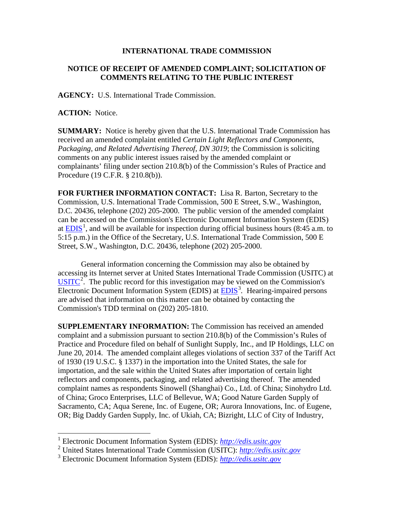## **INTERNATIONAL TRADE COMMISSION**

## **NOTICE OF RECEIPT OF AMENDED COMPLAINT; SOLICITATION OF COMMENTS RELATING TO THE PUBLIC INTEREST**

**AGENCY:** U.S. International Trade Commission.

**ACTION:** Notice.

 $\overline{a}$ 

**SUMMARY:** Notice is hereby given that the U.S. International Trade Commission has received an amended complaint entitled *Certain Light Reflectors and Components, Packaging, and Related Advertising Thereof, DN 3019*; the Commission is soliciting comments on any public interest issues raised by the amended complaint or complainants' filing under section 210.8(b) of the Commission's Rules of Practice and Procedure (19 C.F.R. § 210.8(b)).

**FOR FURTHER INFORMATION CONTACT:** Lisa R. Barton, Secretary to the Commission, U.S. International Trade Commission, 500 E Street, S.W., Washington, D.C. 20436, telephone (202) 205-2000. The public version of the amended complaint can be accessed on the Commission's Electronic Document Information System (EDIS) at  $EDIS<sup>1</sup>$  $EDIS<sup>1</sup>$  $EDIS<sup>1</sup>$ , and will be available for inspection during official business hours (8:45 a.m. to 5:15 p.m.) in the Office of the Secretary, U.S. International Trade Commission, 500 E Street, S.W., Washington, D.C. 20436, telephone (202) 205-2000.

General information concerning the Commission may also be obtained by accessing its Internet server at United States International Trade Commission (USITC) at  $\overline{USTTC}^2$  $\overline{USTTC}^2$ . The public record for this investigation may be viewed on the Commission's Electronic Document Information System (EDIS) at **EDIS**<sup>[3](#page-0-2)</sup>. Hearing-impaired persons are advised that information on this matter can be obtained by contacting the Commission's TDD terminal on (202) 205-1810.

**SUPPLEMENTARY INFORMATION:** The Commission has received an amended complaint and a submission pursuant to section 210.8(b) of the Commission's Rules of Practice and Procedure filed on behalf of Sunlight Supply, Inc., and IP Holdings, LLC on June 20, 2014. The amended complaint alleges violations of section 337 of the Tariff Act of 1930 (19 U.S.C. § 1337) in the importation into the United States, the sale for importation, and the sale within the United States after importation of certain light reflectors and components, packaging, and related advertising thereof. The amended complaint names as respondents Sinowell (Shanghai) Co., Ltd. of China; Sinohydro Ltd. of China; Groco Enterprises, LLC of Bellevue, WA; Good Nature Garden Supply of Sacramento, CA; Aqua Serene, Inc. of Eugene, OR; Aurora Innovations, Inc. of Eugene, OR; Big Daddy Garden Supply, Inc. of Ukiah, CA; Bizright, LLC of City of Industry,

<span id="page-0-0"></span><sup>1</sup> Electronic Document Information System (EDIS): *[http://edis.usitc.gov](http://edis.usitc.gov/)*

<span id="page-0-1"></span><sup>2</sup> United States International Trade Commission (USITC): *[http://edis.usitc.gov](http://edis.usitc.gov/)*

<span id="page-0-2"></span><sup>3</sup> Electronic Document Information System (EDIS): *[http://edis.usitc.gov](http://edis.usitc.gov/)*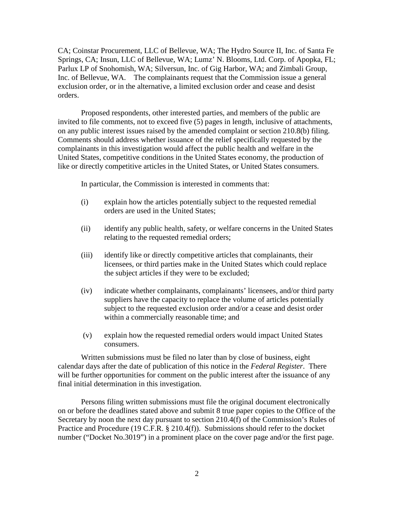CA; Coinstar Procurement, LLC of Bellevue, WA; The Hydro Source II, Inc. of Santa Fe Springs, CA; Insun, LLC of Bellevue, WA; Lumz' N. Blooms, Ltd. Corp. of Apopka, FL; Parlux LP of Snohomish, WA; Silversun, Inc. of Gig Harbor, WA; and Zimbali Group, Inc. of Bellevue, WA. The complainants request that the Commission issue a general exclusion order, or in the alternative, a limited exclusion order and cease and desist orders.

Proposed respondents, other interested parties, and members of the public are invited to file comments, not to exceed five (5) pages in length, inclusive of attachments, on any public interest issues raised by the amended complaint or section 210.8(b) filing. Comments should address whether issuance of the relief specifically requested by the complainants in this investigation would affect the public health and welfare in the United States, competitive conditions in the United States economy, the production of like or directly competitive articles in the United States, or United States consumers.

In particular, the Commission is interested in comments that:

- (i) explain how the articles potentially subject to the requested remedial orders are used in the United States;
- (ii) identify any public health, safety, or welfare concerns in the United States relating to the requested remedial orders;
- (iii) identify like or directly competitive articles that complainants, their licensees, or third parties make in the United States which could replace the subject articles if they were to be excluded;
- (iv) indicate whether complainants, complainants' licensees, and/or third party suppliers have the capacity to replace the volume of articles potentially subject to the requested exclusion order and/or a cease and desist order within a commercially reasonable time; and
- (v) explain how the requested remedial orders would impact United States consumers.

Written submissions must be filed no later than by close of business, eight calendar days after the date of publication of this notice in the *Federal Register*. There will be further opportunities for comment on the public interest after the issuance of any final initial determination in this investigation.

Persons filing written submissions must file the original document electronically on or before the deadlines stated above and submit 8 true paper copies to the Office of the Secretary by noon the next day pursuant to section 210.4(f) of the Commission's Rules of Practice and Procedure (19 C.F.R. § 210.4(f)). Submissions should refer to the docket number ("Docket No.3019") in a prominent place on the cover page and/or the first page.